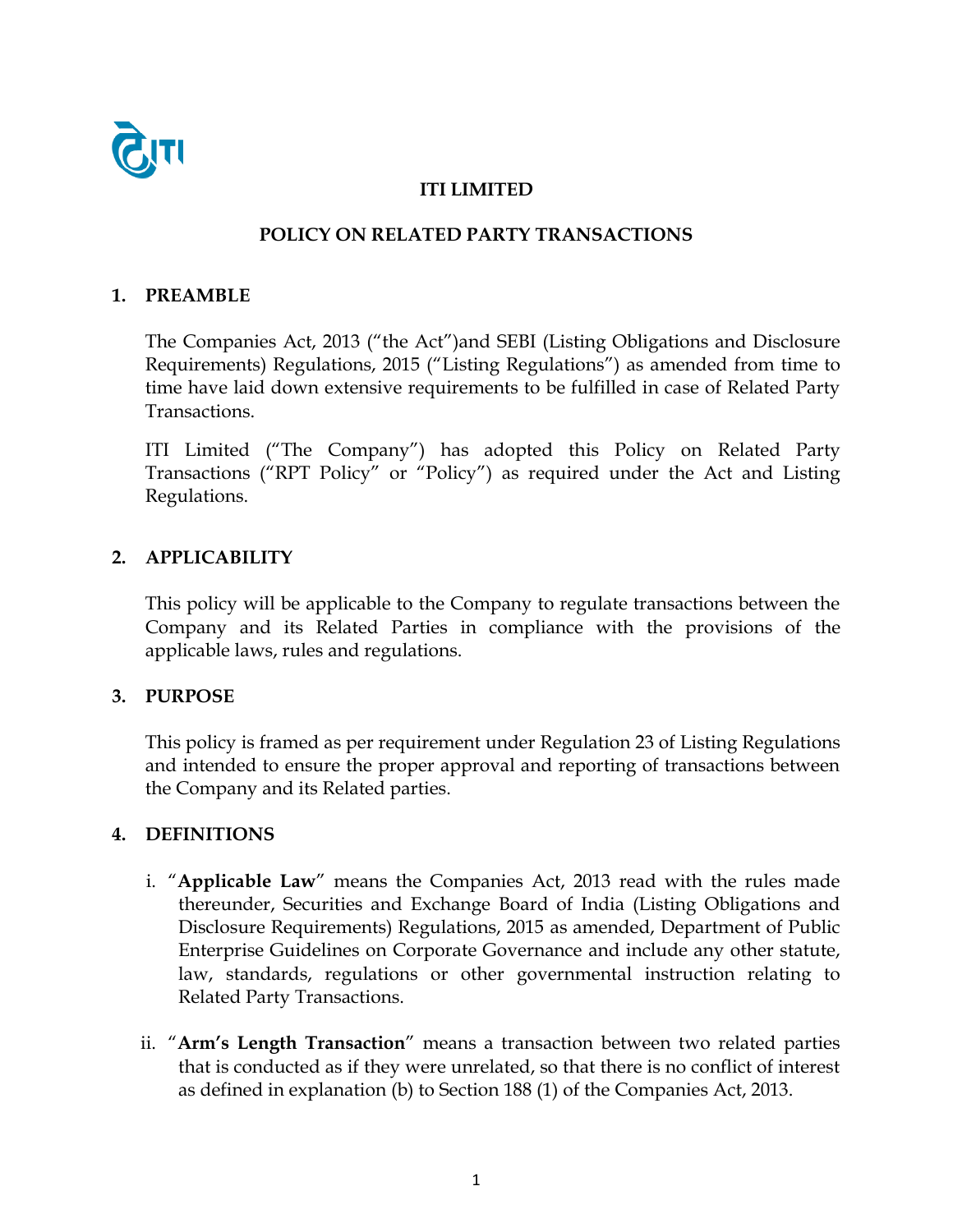

## **ITI LIMITED**

# **POLICY ON RELATED PARTY TRANSACTIONS**

#### **1. PREAMBLE**

The Companies Act, 2013 ("the Act")and SEBI (Listing Obligations and Disclosure Requirements) Regulations, 2015 ("Listing Regulations") as amended from time to time have laid down extensive requirements to be fulfilled in case of Related Party Transactions.

ITI Limited ("The Company") has adopted this Policy on Related Party Transactions ("RPT Policy" or "Policy") as required under the Act and Listing Regulations.

## **2. APPLICABILITY**

This policy will be applicable to the Company to regulate transactions between the Company and its Related Parties in compliance with the provisions of the applicable laws, rules and regulations.

## **3. PURPOSE**

This policy is framed as per requirement under Regulation 23 of Listing Regulations and intended to ensure the proper approval and reporting of transactions between the Company and its Related parties.

## **4. DEFINITIONS**

- i. "**Applicable Law**" means the Companies Act, 2013 read with the rules made thereunder, Securities and Exchange Board of India (Listing Obligations and Disclosure Requirements) Regulations, 2015 as amended, Department of Public Enterprise Guidelines on Corporate Governance and include any other statute, law, standards, regulations or other governmental instruction relating to Related Party Transactions.
- ii. "**Arm's Length Transaction**" means a transaction between two related parties that is conducted as if they were unrelated, so that there is no conflict of interest as defined in explanation (b) to Section 188 (1) of the Companies Act, 2013.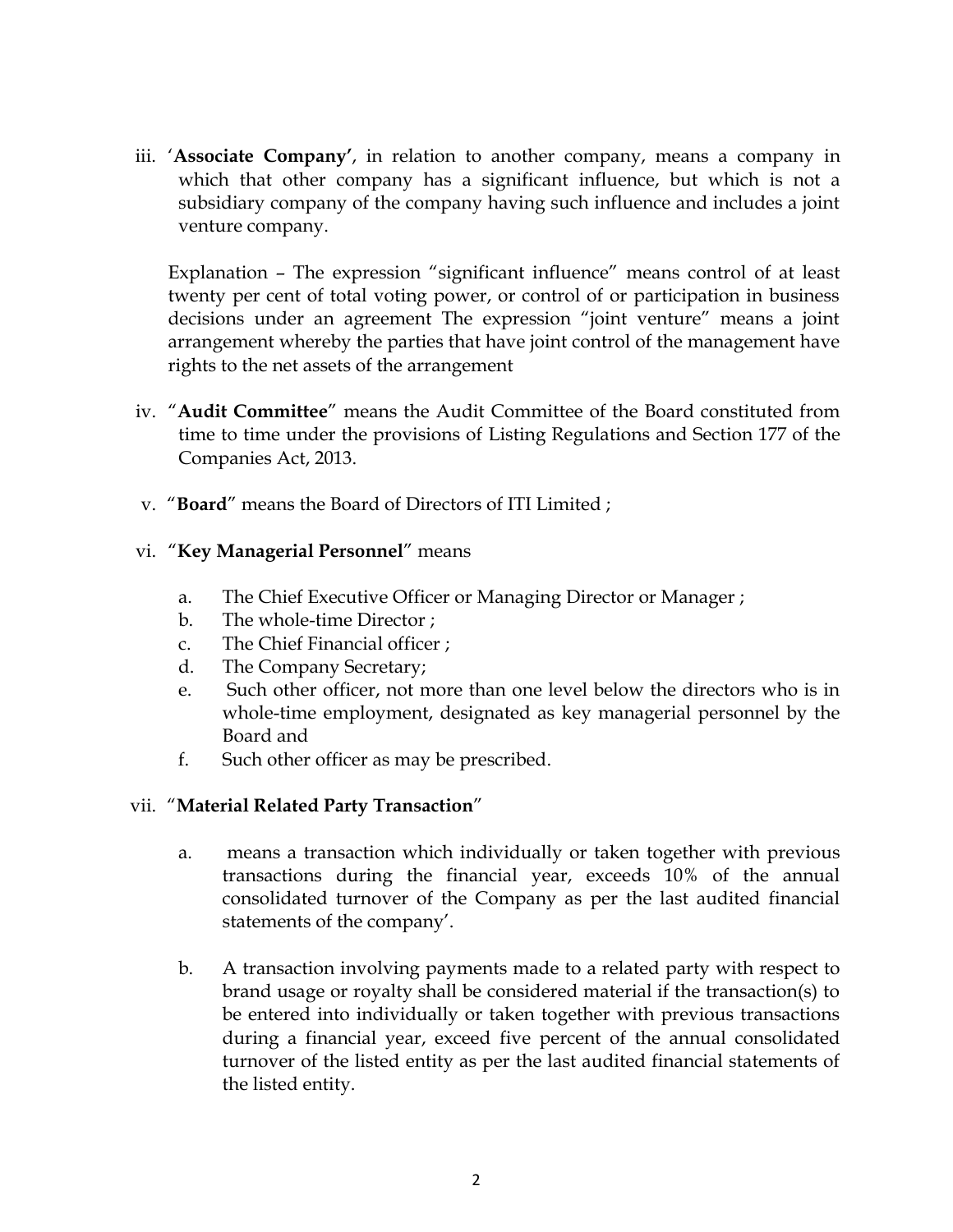iii. '**Associate Company'**, in relation to another company, means a company in which that other company has a significant influence, but which is not a subsidiary company of the company having such influence and includes a joint venture company.

Explanation – The expression "significant influence" means control of at least twenty per cent of total voting power, or control of or participation in business decisions under an agreement The expression "joint venture" means a joint arrangement whereby the parties that have joint control of the management have rights to the net assets of the arrangement

- iv. "**Audit Committee**" means the Audit Committee of the Board constituted from time to time under the provisions of Listing Regulations and Section 177 of the Companies Act, 2013.
- v. "**Board**" means the Board of Directors of ITI Limited ;

## vi. "**Key Managerial Personnel**" means

- a. The Chief Executive Officer or Managing Director or Manager ;
- b. The whole-time Director ;
- c. The Chief Financial officer ;
- d. The Company Secretary;
- e. Such other officer, not more than one level below the directors who is in whole-time employment, designated as key managerial personnel by the Board and
- f. Such other officer as may be prescribed.

## vii. "**Material Related Party Transaction**"

- a. means a transaction which individually or taken together with previous transactions during the financial year, exceeds 10% of the annual consolidated turnover of the Company as per the last audited financial statements of the company'.
- b. A transaction involving payments made to a related party with respect to brand usage or royalty shall be considered material if the transaction(s) to be entered into individually or taken together with previous transactions during a financial year, exceed five percent of the annual consolidated turnover of the listed entity as per the last audited financial statements of the listed entity.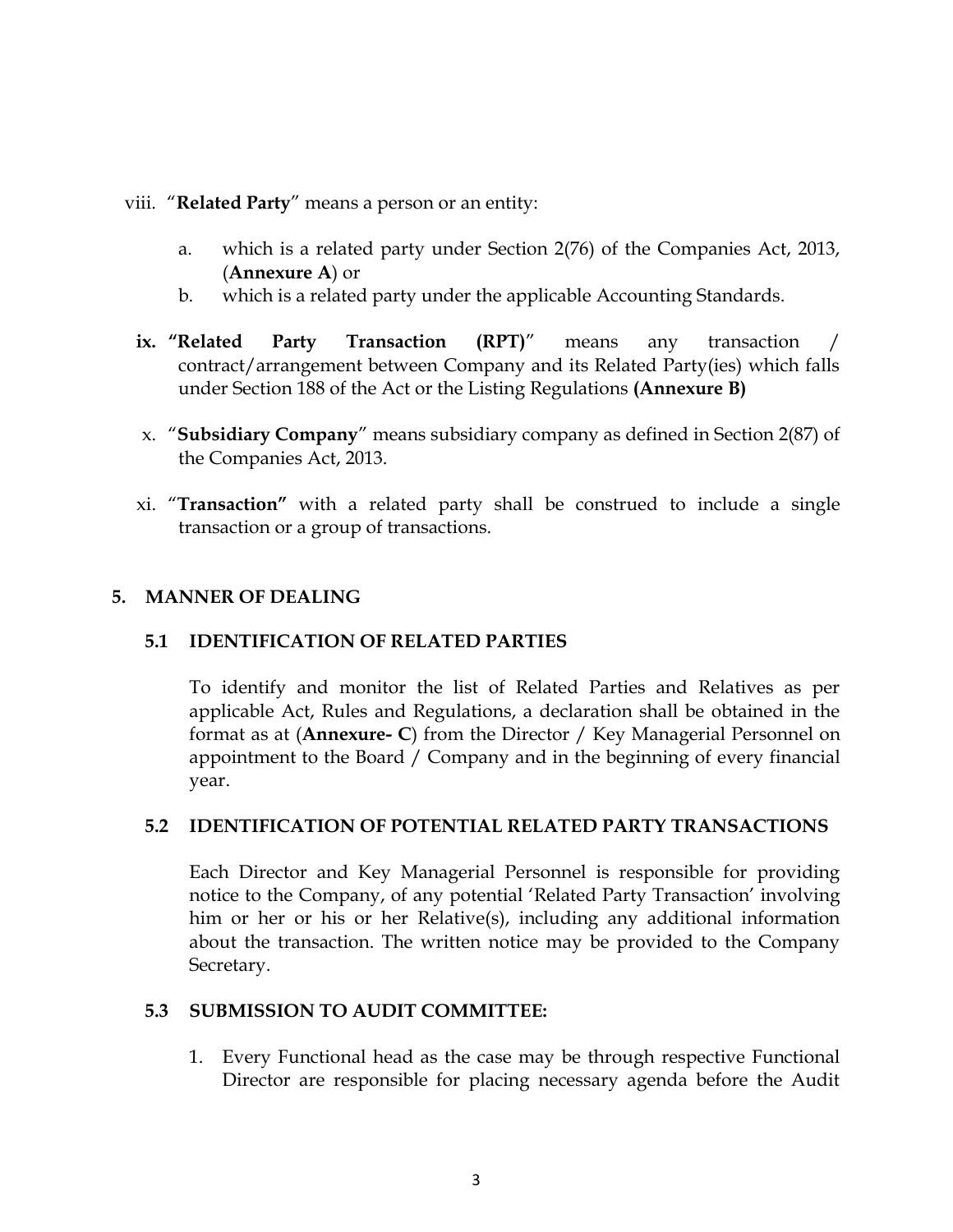#### viii. "**Related Party**" means a person or an entity:

- a. which is a related party under Section 2(76) of the Companies Act, 2013, (**Annexure A**) or
- b. which is a related party under the applicable Accounting Standards.
- **ix. "Related Party Transaction (RPT)**" means any transaction / contract/arrangement between Company and its Related Party(ies) which falls under Section 188 of the Act or the Listing Regulations **(Annexure B)**
- x. "**Subsidiary Company**" means subsidiary company as defined in Section 2(87) of the Companies Act, 2013.
- xi. "**Transaction"** with a related party shall be construed to include a single transaction or a group of transactions.

## **5. MANNER OF DEALING**

## **5.1 IDENTIFICATION OF RELATED PARTIES**

To identify and monitor the list of Related Parties and Relatives as per applicable Act, Rules and Regulations, a declaration shall be obtained in the format as at (**Annexure- C**) from the Director / Key Managerial Personnel on appointment to the Board / Company and in the beginning of every financial year.

## **5.2 IDENTIFICATION OF POTENTIAL RELATED PARTY TRANSACTIONS**

Each Director and Key Managerial Personnel is responsible for providing notice to the Company, of any potential 'Related Party Transaction' involving him or her or his or her Relative(s), including any additional information about the transaction. The written notice may be provided to the Company Secretary.

#### **5.3 SUBMISSION TO AUDIT COMMITTEE:**

1. Every Functional head as the case may be through respective Functional Director are responsible for placing necessary agenda before the Audit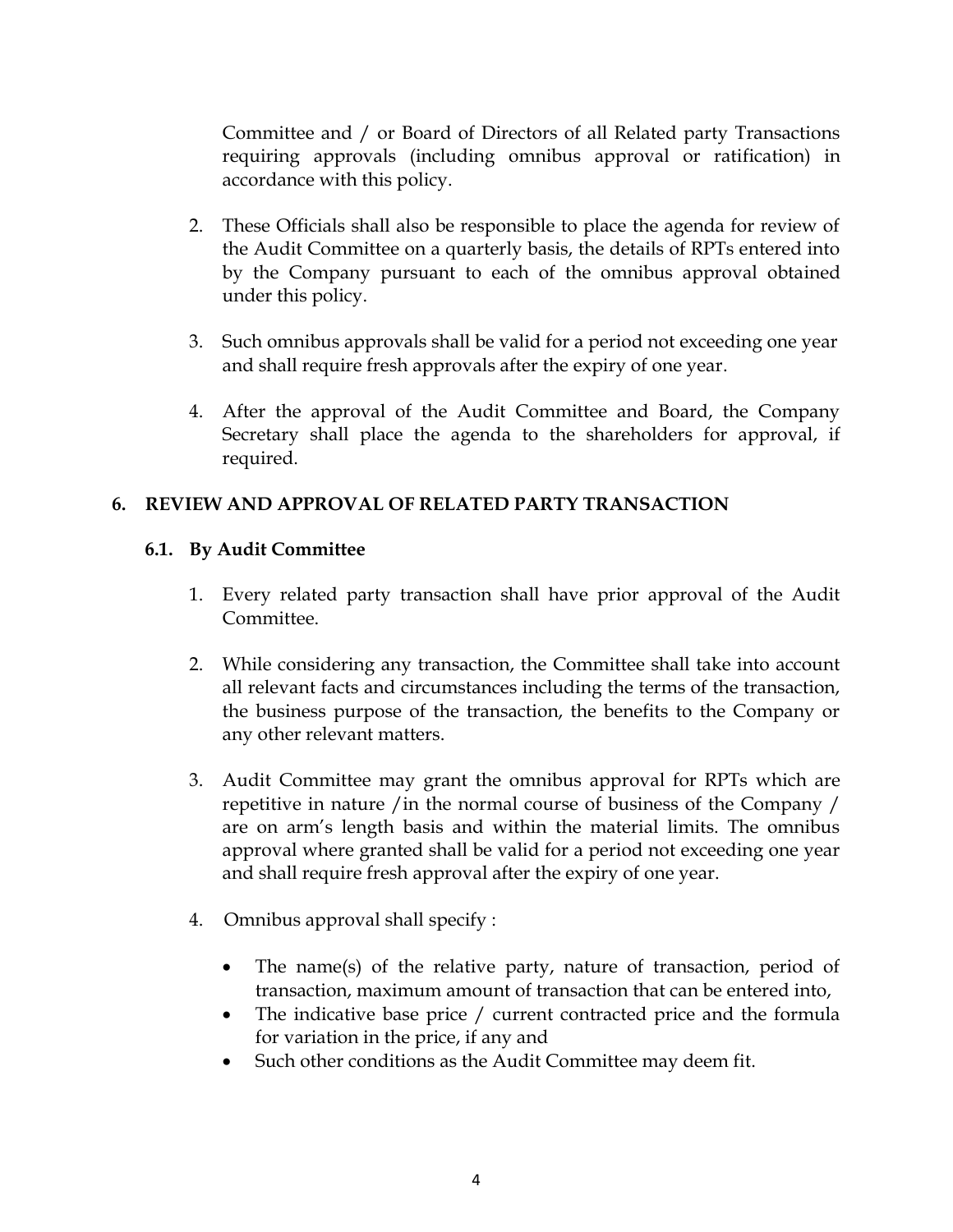Committee and / or Board of Directors of all Related party Transactions requiring approvals (including omnibus approval or ratification) in accordance with this policy.

- 2. These Officials shall also be responsible to place the agenda for review of the Audit Committee on a quarterly basis, the details of RPTs entered into by the Company pursuant to each of the omnibus approval obtained under this policy.
- 3. Such omnibus approvals shall be valid for a period not exceeding one year and shall require fresh approvals after the expiry of one year.
- 4. After the approval of the Audit Committee and Board, the Company Secretary shall place the agenda to the shareholders for approval, if required.

# **6. REVIEW AND APPROVAL OF RELATED PARTY TRANSACTION**

## **6.1. By Audit Committee**

- 1. Every related party transaction shall have prior approval of the Audit Committee.
- 2. While considering any transaction, the Committee shall take into account all relevant facts and circumstances including the terms of the transaction, the business purpose of the transaction, the benefits to the Company or any other relevant matters.
- 3. Audit Committee may grant the omnibus approval for RPTs which are repetitive in nature /in the normal course of business of the Company / are on arm's length basis and within the material limits. The omnibus approval where granted shall be valid for a period not exceeding one year and shall require fresh approval after the expiry of one year.
- 4. Omnibus approval shall specify :
	- The name(s) of the relative party, nature of transaction, period of transaction, maximum amount of transaction that can be entered into,
	- The indicative base price / current contracted price and the formula for variation in the price, if any and
	- Such other conditions as the Audit Committee may deem fit.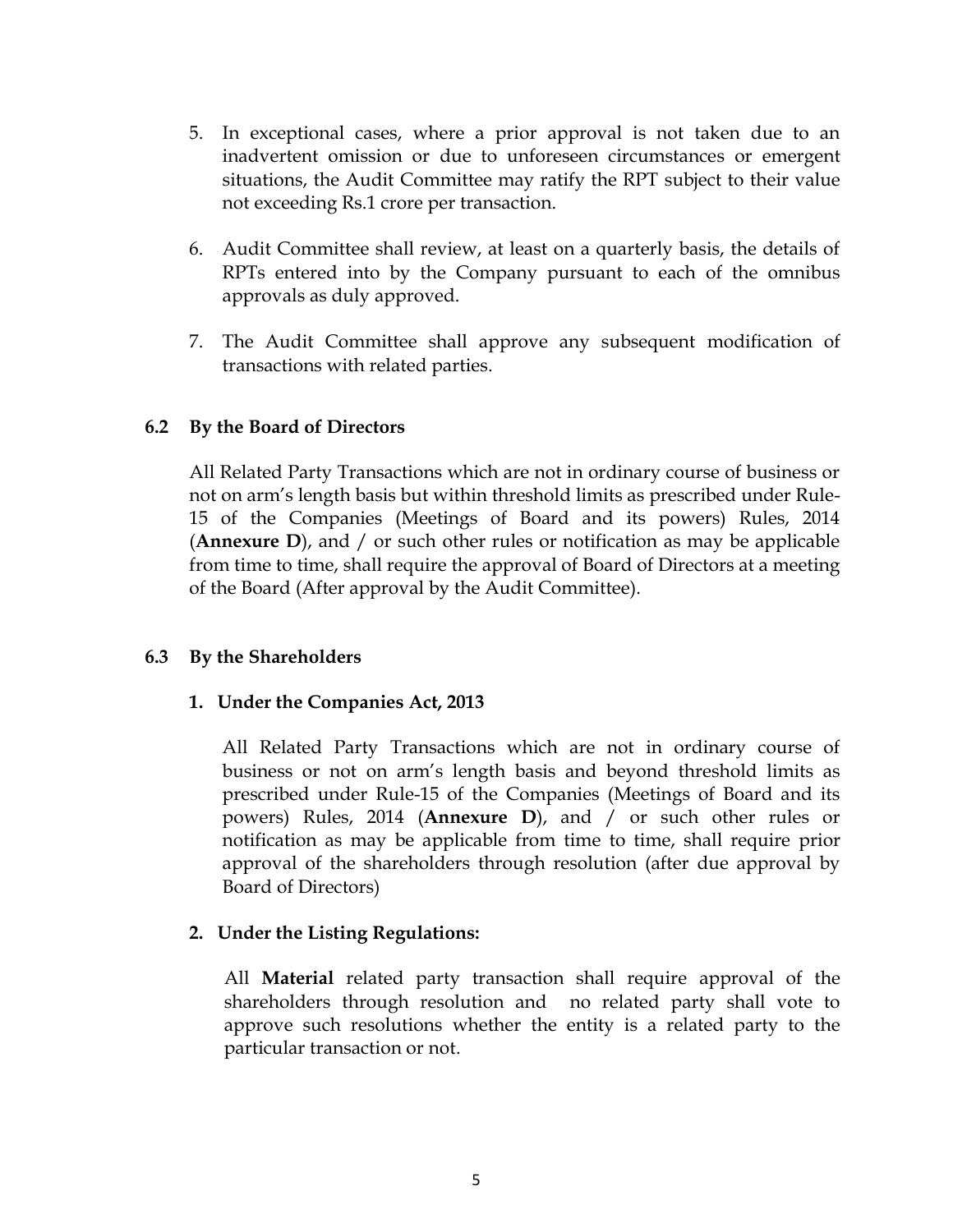- 5. In exceptional cases, where a prior approval is not taken due to an inadvertent omission or due to unforeseen circumstances or emergent situations, the Audit Committee may ratify the RPT subject to their value not exceeding Rs.1 crore per transaction.
- 6. Audit Committee shall review, at least on a quarterly basis, the details of RPTs entered into by the Company pursuant to each of the omnibus approvals as duly approved.
- 7. The Audit Committee shall approve any subsequent modification of transactions with related parties.

## **6.2 By the Board of Directors**

All Related Party Transactions which are not in ordinary course of business or not on arm's length basis but within threshold limits as prescribed under Rule-15 of the Companies (Meetings of Board and its powers) Rules, 2014 (**Annexure D**), and / or such other rules or notification as may be applicable from time to time, shall require the approval of Board of Directors at a meeting of the Board (After approval by the Audit Committee).

## **6.3 By the Shareholders**

## **1. Under the Companies Act, 2013**

All Related Party Transactions which are not in ordinary course of business or not on arm's length basis and beyond threshold limits as prescribed under Rule-15 of the Companies (Meetings of Board and its powers) Rules, 2014 (**Annexure D**), and / or such other rules or notification as may be applicable from time to time, shall require prior approval of the shareholders through resolution (after due approval by Board of Directors)

# **2. Under the Listing Regulations:**

All **Material** related party transaction shall require approval of the shareholders through resolution and no related party shall vote to approve such resolutions whether the entity is a related party to the particular transaction or not.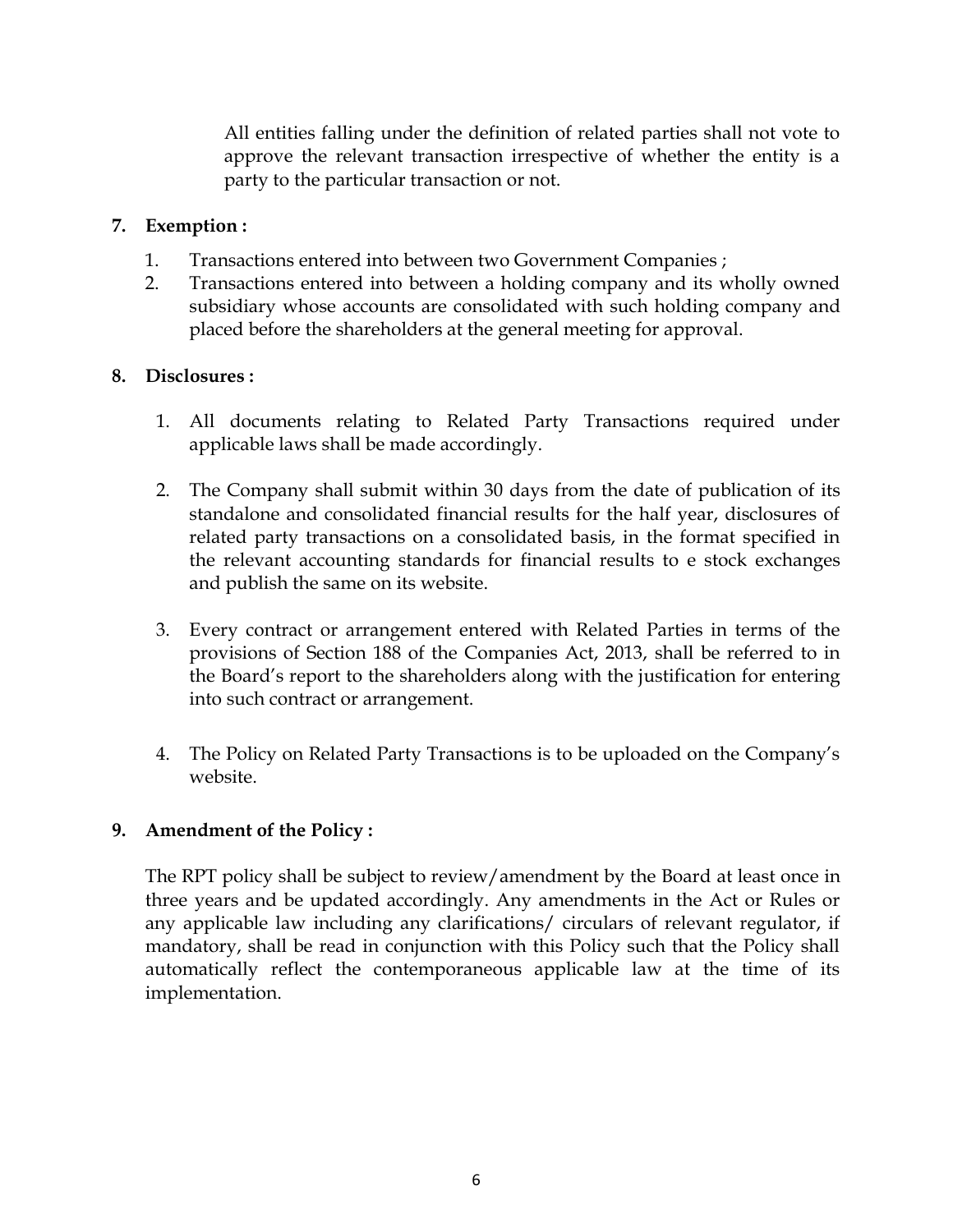All entities falling under the definition of related parties shall not vote to approve the relevant transaction irrespective of whether the entity is a party to the particular transaction or not.

## **7. Exemption :**

- 1. Transactions entered into between two Government Companies ;
- 2. Transactions entered into between a holding company and its wholly owned subsidiary whose accounts are consolidated with such holding company and placed before the shareholders at the general meeting for approval.

## **8. Disclosures :**

- 1. All documents relating to Related Party Transactions required under applicable laws shall be made accordingly.
- 2. The Company shall submit within 30 days from the date of publication of its standalone and consolidated financial results for the half year, disclosures of related party transactions on a consolidated basis, in the format specified in the relevant accounting standards for financial results to e stock exchanges and publish the same on its website.
- 3. Every contract or arrangement entered with Related Parties in terms of the provisions of Section 188 of the Companies Act, 2013, shall be referred to in the Board's report to the shareholders along with the justification for entering into such contract or arrangement.
- 4. The Policy on Related Party Transactions is to be uploaded on the Company's website.

## **9. Amendment of the Policy :**

The RPT policy shall be subject to review/amendment by the Board at least once in three years and be updated accordingly. Any amendments in the Act or Rules or any applicable law including any clarifications/ circulars of relevant regulator, if mandatory, shall be read in conjunction with this Policy such that the Policy shall automatically reflect the contemporaneous applicable law at the time of its implementation.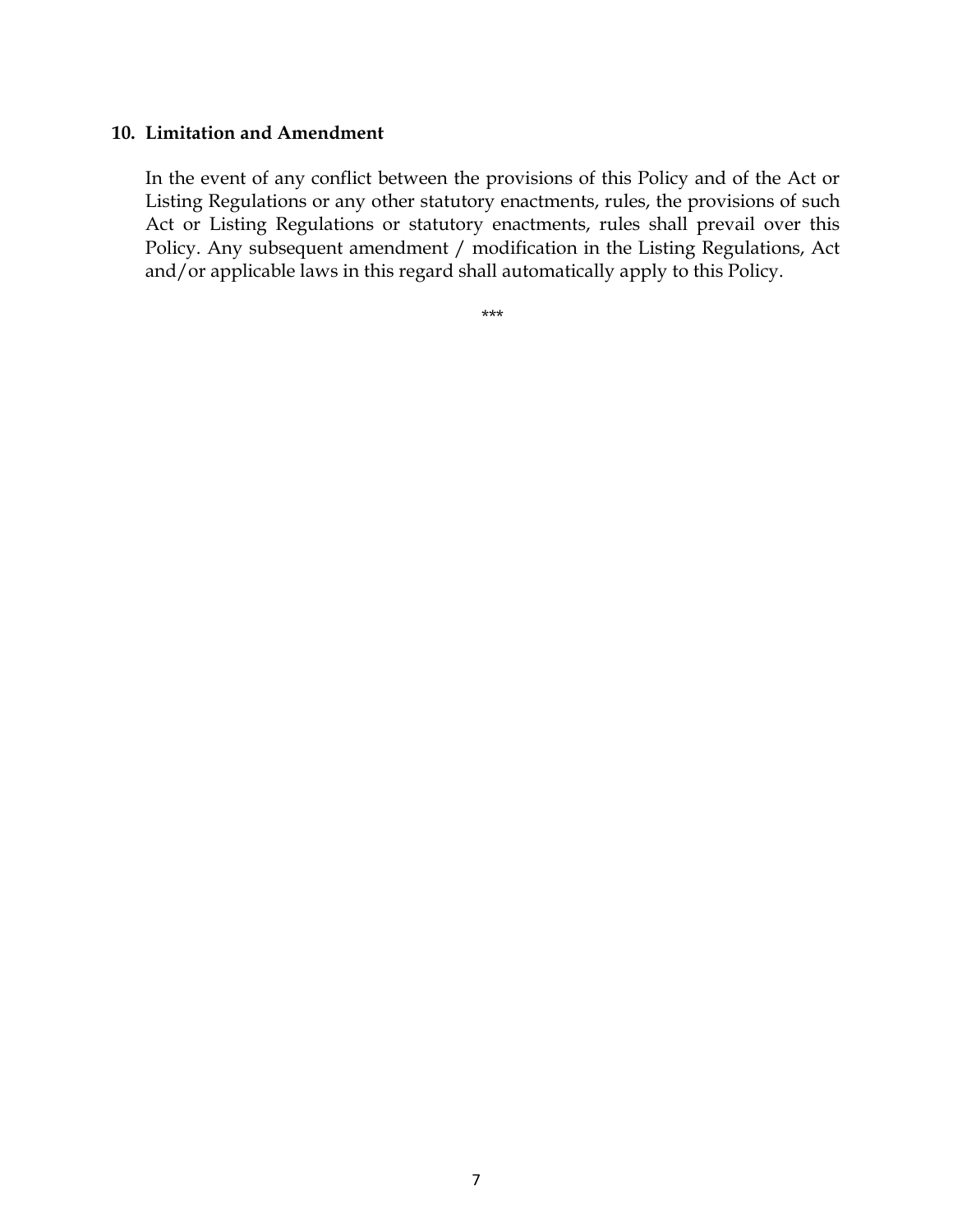#### **10. Limitation and Amendment**

In the event of any conflict between the provisions of this Policy and of the Act or Listing Regulations or any other statutory enactments, rules, the provisions of such Act or Listing Regulations or statutory enactments, rules shall prevail over this Policy. Any subsequent amendment / modification in the Listing Regulations, Act and/or applicable laws in this regard shall automatically apply to this Policy.

\*\*\*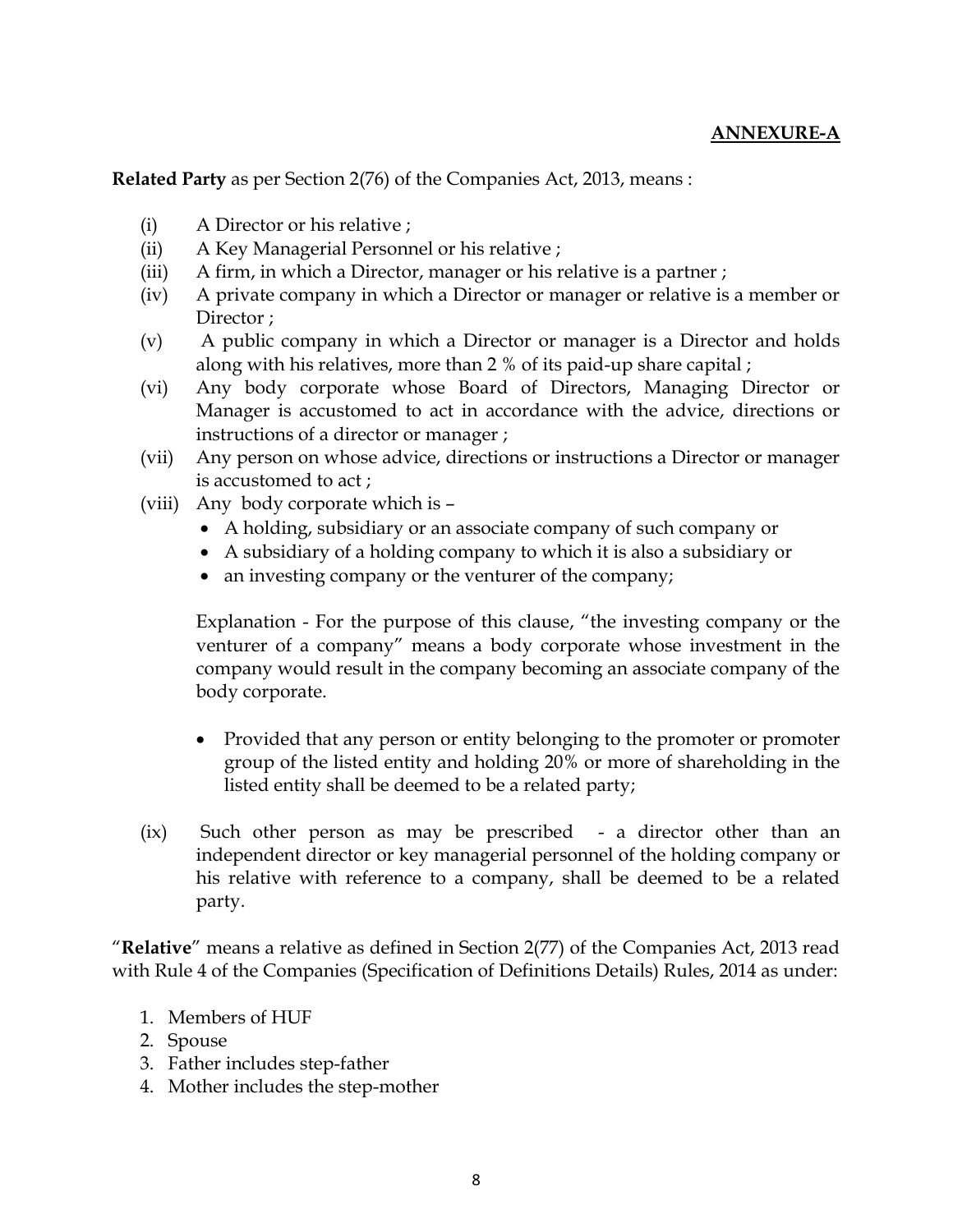**Related Party** as per Section 2(76) of the Companies Act, 2013, means :

- (i) A Director or his relative ;
- (ii) A Key Managerial Personnel or his relative ;
- (iii) A firm, in which a Director, manager or his relative is a partner ;
- (iv) A private company in which a Director or manager or relative is a member or Director ;
- (v) A public company in which a Director or manager is a Director and holds along with his relatives, more than 2 % of its paid-up share capital ;
- (vi) Any body corporate whose Board of Directors, Managing Director or Manager is accustomed to act in accordance with the advice, directions or instructions of a director or manager ;
- (vii) Any person on whose advice, directions or instructions a Director or manager is accustomed to act ;
- (viii) Any body corporate which is
	- A holding, subsidiary or an associate company of such company or
	- A subsidiary of a holding company to which it is also a subsidiary or
	- an investing company or the venturer of the company;

Explanation - For the purpose of this clause, "the investing company or the venturer of a company" means a body corporate whose investment in the company would result in the company becoming an associate company of the body corporate.

- Provided that any person or entity belonging to the promoter or promoter group of the listed entity and holding 20% or more of shareholding in the listed entity shall be deemed to be a related party;
- (ix) Such other person as may be prescribed a director other than an independent director or key managerial personnel of the holding company or his relative with reference to a company, shall be deemed to be a related party.

"**Relative**" means a relative as defined in Section 2(77) of the Companies Act, 2013 read with Rule 4 of the Companies (Specification of Definitions Details) Rules, 2014 as under:

- 1. Members of HUF
- 2. Spouse
- 3. Father includes step-father
- 4. Mother includes the step-mother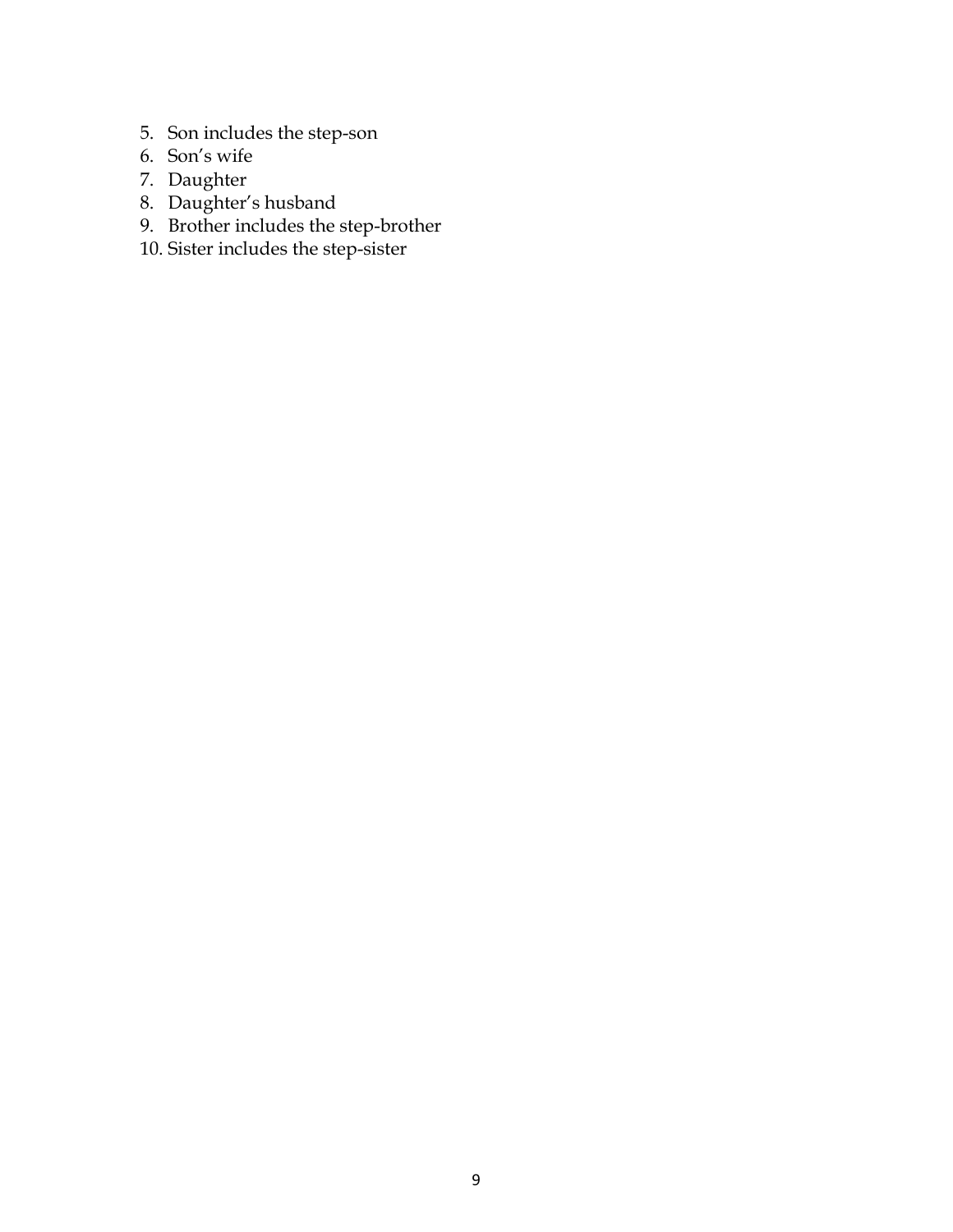- 5. Son includes the step-son
- 6. Son's wife
- 7. Daughter
- 8. Daughter's husband
- 9. Brother includes the step-brother
- 10. Sister includes the step-sister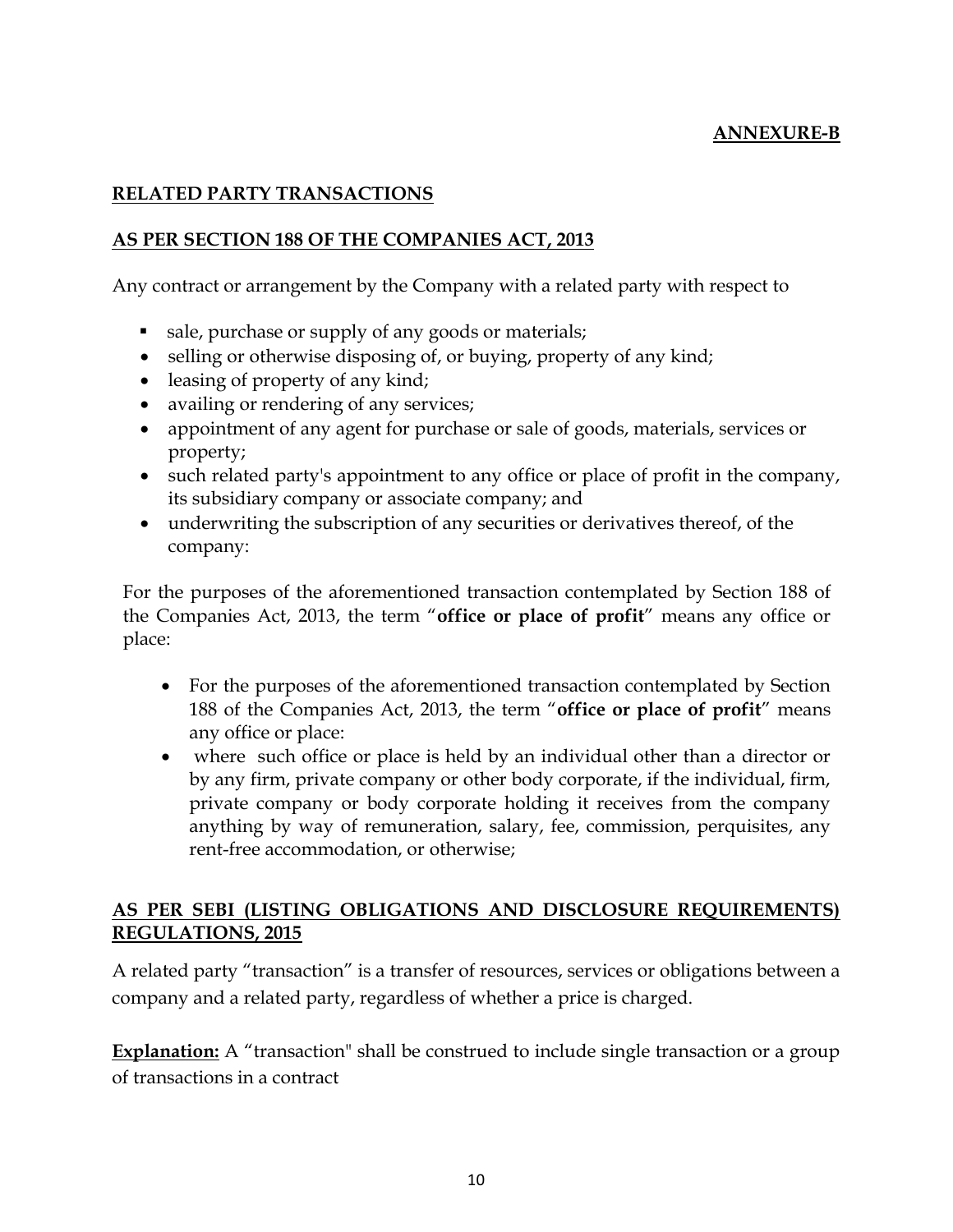# **ANNEXURE-B**

## **RELATED PARTY TRANSACTIONS**

## **AS PER SECTION 188 OF THE COMPANIES ACT, 2013**

Any contract or arrangement by the Company with a related party with respect to

- sale, purchase or supply of any goods or materials;
- selling or otherwise disposing of, or buying, property of any kind;
- leasing of property of any kind;
- availing or rendering of any services;
- appointment of any agent for purchase or sale of goods, materials, services or property;
- such related party's appointment to any office or place of profit in the company, its subsidiary company or associate company; and
- underwriting the subscription of any securities or derivatives thereof, of the company:

For the purposes of the aforementioned transaction contemplated by Section 188 of the Companies Act, 2013, the term "**office or place of profit**" means any office or place:

- For the purposes of the aforementioned transaction contemplated by Section 188 of the Companies Act, 2013, the term "**office or place of profit**" means any office or place:
- where such office or place is held by an individual other than a director or by any firm, private company or other body corporate, if the individual, firm, private company or body corporate holding it receives from the company anything by way of remuneration, salary, fee, commission, perquisites, any rent-free accommodation, or otherwise;

# **AS PER SEBI (LISTING OBLIGATIONS AND DISCLOSURE REQUIREMENTS) REGULATIONS, 2015**

A related party "transaction" is a transfer of resources, services or obligations between a company and a related party, regardless of whether a price is charged.

**Explanation:** A "transaction" shall be construed to include single transaction or a group of transactions in a contract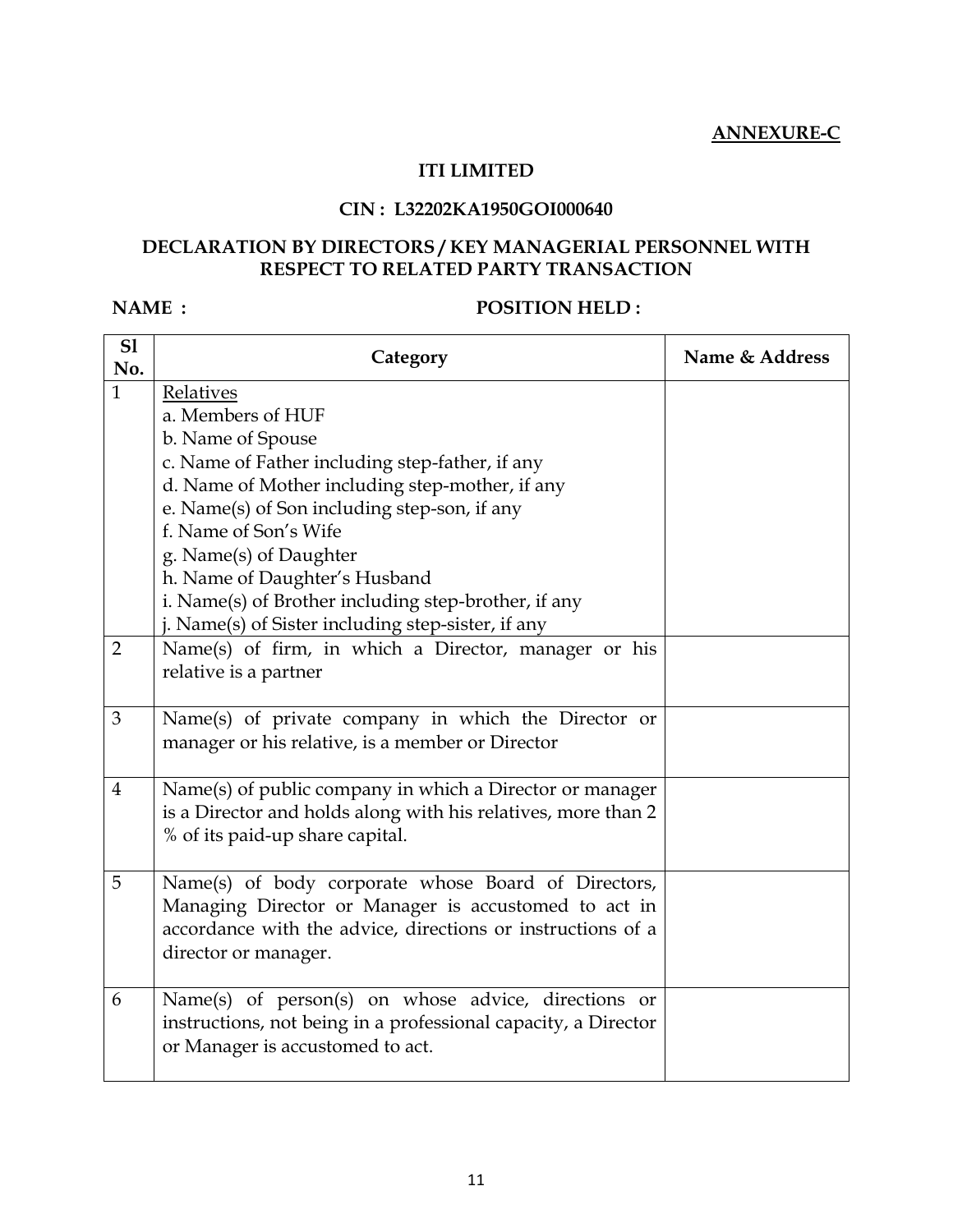#### **ITI LIMITED**

## **CIN : L32202KA1950GOI000640**

#### **DECLARATION BY DIRECTORS / KEY MANAGERIAL PERSONNEL WITH RESPECT TO RELATED PARTY TRANSACTION**

#### **NAME : POSITION HELD :**

| S1<br>No.      | Category                                                       | Name & Address |
|----------------|----------------------------------------------------------------|----------------|
| $\mathbf{1}$   | Relatives                                                      |                |
|                | a. Members of HUF                                              |                |
|                | b. Name of Spouse                                              |                |
|                | c. Name of Father including step-father, if any                |                |
|                | d. Name of Mother including step-mother, if any                |                |
|                | e. Name(s) of Son including step-son, if any                   |                |
|                | f. Name of Son's Wife                                          |                |
|                | g. Name(s) of Daughter                                         |                |
|                | h. Name of Daughter's Husband                                  |                |
|                | i. Name(s) of Brother including step-brother, if any           |                |
|                | j. Name(s) of Sister including step-sister, if any             |                |
| $\overline{2}$ | Name(s) of firm, in which a Director, manager or his           |                |
|                | relative is a partner                                          |                |
|                |                                                                |                |
| 3              | Name(s) of private company in which the Director or            |                |
|                | manager or his relative, is a member or Director               |                |
|                |                                                                |                |
| $\overline{4}$ | Name(s) of public company in which a Director or manager       |                |
|                | is a Director and holds along with his relatives, more than 2  |                |
|                | % of its paid-up share capital.                                |                |
|                |                                                                |                |
| 5              | Name(s) of body corporate whose Board of Directors,            |                |
|                | Managing Director or Manager is accustomed to act in           |                |
|                | accordance with the advice, directions or instructions of a    |                |
|                | director or manager.                                           |                |
|                |                                                                |                |
| 6              | Name(s) of person(s) on whose advice, directions or            |                |
|                | instructions, not being in a professional capacity, a Director |                |
|                | or Manager is accustomed to act.                               |                |
|                |                                                                |                |